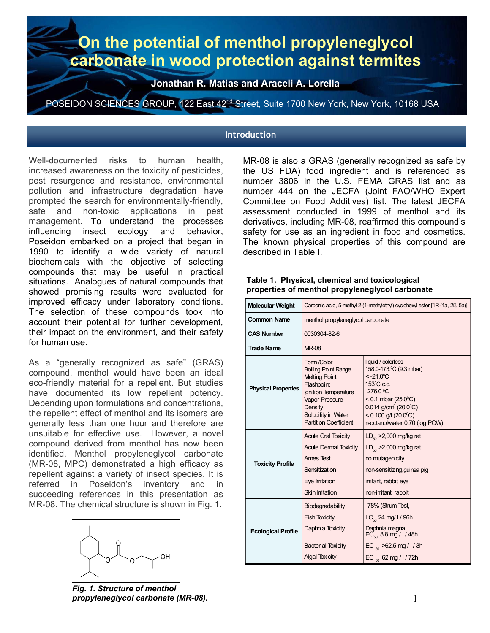# **On the potential of menthol propyleneglycol carbonate in wood protection against termites**

**Jonathan R. Matias and Araceli A. Lorella** 

POSEIDON SCIENCES GROUP, 122 East 42<sup>nd</sup> Street, Suite 1700 New York, New York, 10168 USA

#### **Introduction**

Well-documented risks to human health, increased awareness on the toxicity of pesticides, pest resurgence and resistance, environmental pollution and infrastructure degradation have prompted the search for environmentally-friendly, safe and non-toxic applications in pest management. To understand the processes influencing insect ecology and behavior, Poseidon embarked on a project that began in 1990 to identify a wide variety of natural biochemicals with the objective of selecting compounds that may be useful in practical situations. Analogues of natural compounds that showed promising results were evaluated for improved efficacy under laboratory conditions. The selection of these compounds took into account their potential for further development, their impact on the environment, and their safety for human use.

As a "generally recognized as safe" (GRAS) compound, menthol would have been an ideal eco-friendly material for a repellent. But studies have documented its low repellent potency. Depending upon formulations and concentrations, the repellent effect of menthol and its isomers are generally less than one hour and therefore are unsuitable for effective use. However, a novel compound derived from menthol has now been identified. Menthol propyleneglycol carbonate (MR-08, MPC) demonstrated a high efficacy as repellent against a variety of insect species. It is referred in Poseidon's inventory and in succeeding references in this presentation as MR-08. The chemical structure is shown in Fig. 1.



*Fig. 1. Structure of menthol propyleneglycol carbonate (MR-08).* 

MR-08 is also a GRAS (generally recognized as safe by the US FDA) food ingredient and is referenced as number 3806 in the U.S. FEMA GRAS list and as number 444 on the JECFA (Joint FAO/WHO Expert Committee on Food Additives) list. The latest JECFA assessment conducted in 1999 of menthol and its derivatives, including MR-08, reaffirmed this compound's safety for use as an ingredient in food and cosmetics. The known physical properties of this compound are described in Table I.

| <b>Molecular Weight</b>    | Carbonic acid, 5-methyl-2-(1-methylethyl) cyclohexyl ester [1R-(1a, 2ß, 5a)]                                                                                                                       |                                                                                                                                                                                                                                                                    |  |
|----------------------------|----------------------------------------------------------------------------------------------------------------------------------------------------------------------------------------------------|--------------------------------------------------------------------------------------------------------------------------------------------------------------------------------------------------------------------------------------------------------------------|--|
| <b>Common Name</b>         | menthol propyleneglycol carbonate                                                                                                                                                                  |                                                                                                                                                                                                                                                                    |  |
| <b>CAS Number</b>          | 0030304-82-6                                                                                                                                                                                       |                                                                                                                                                                                                                                                                    |  |
| <b>Trade Name</b>          | <b>MR-08</b>                                                                                                                                                                                       |                                                                                                                                                                                                                                                                    |  |
| <b>Physical Properties</b> | Form /Color<br><b>Boiling Point Range</b><br><b>Melting Point</b><br>Flashpoint<br>Ignition Temperature<br><b>Vapor Pressure</b><br>Density<br>Solubility in Water<br><b>Partition Coefficient</b> | liquid / colorless<br>158.0-173. C (9.3 mbar)<br>$< -21.0$ °C<br>153 <sup>°</sup> C c.c.<br>276.0 °C<br>< 0.1 mbar (25.0 $^{\circ}$ C)<br>$0.014$ g/cm <sup>3</sup> (20.0 <sup>o</sup> C)<br>$< 0.100$ g/l (20.0 <sup>o</sup> C)<br>n-octanol/water 0.70 (log POW) |  |
| <b>Toxicity Profile</b>    | <b>Acute Oral Toxicity</b><br><b>Acute Dermal Toxicity</b><br>Ames Test<br>Sensitization<br>Eye Irritation<br>Skin Irritation                                                                      | $LD_{\rm so}$ >2,000 mg/kg rat<br>$LD_{\kappa_0}$ >2,000 mg/kg rat<br>no mutagenicity<br>non-sensitizing, guinea pig<br>irritant, rabbit eye<br>non-imitant, rabbit                                                                                                |  |
| <b>Ecological Profile</b>  | Biodegradability<br><b>Fish Toxicity</b><br>Daphnia Toxicity<br><b>Bacterial Toxicity</b><br><b>Algal Toxicity</b>                                                                                 | 78% (Strum-Test,<br>$LC_{\rm so}$ 24 mg/ l / 96h<br>Daphnia magna<br>EC <sub>50</sub> 8.8 mg / l / 48h<br>EC $_{50}$ >62.5 mg / 1 / 3h<br>EC $_{50}$ 62 mg / l / 72h                                                                                               |  |

#### **Table 1. Physical, chemical and toxicological properties of menthol propyleneglycol carbonate**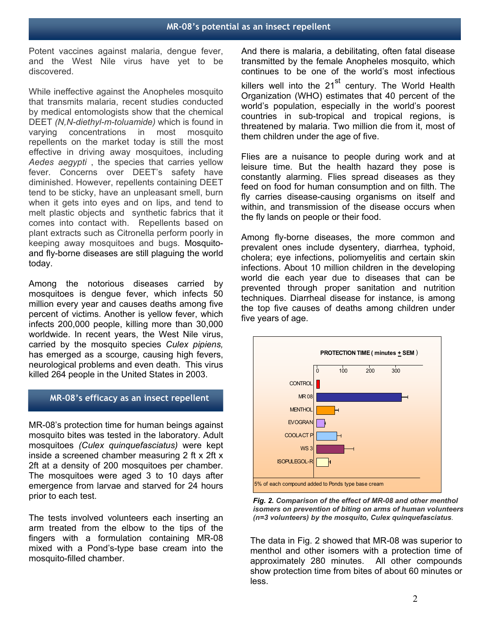Potent vaccines against malaria, dengue fever, and the West Nile virus have yet to be discovered.

While ineffective against the Anopheles mosquito that transmits malaria, recent studies conducted by medical entomologists show that the chemical DEET *(N,N-diethyl-m-toluamide)* which is found in varying concentrations in most mosquito repellents on the market today is still the most effective in driving away mosquitoes, including *Aedes aegypti* , the species that carries yellow fever. Concerns over DEET's safety have diminished. However, repellents containing DEET tend to be sticky, have an unpleasant smell, burn when it gets into eyes and on lips, and tend to melt plastic objects and synthetic fabrics that it comes into contact with. Repellents based on plant extracts such as Citronella perform poorly in keeping away mosquitoes and bugs. Mosquitoand fly-borne diseases are still plaguing the world today.

Among the notorious diseases carried by mosquitoes is dengue fever, which infects 50 million every year and causes deaths among five percent of victims. Another is yellow fever, which infects 200,000 people, killing more than 30,000 worldwide. In recent years, the West Nile virus, carried by the mosquito species *Culex pipiens,*  has emerged as a scourge, causing high fevers, neurological problems and even death. This virus killed 264 people in the United States in 2003.

#### **MR-08's efficacy as an insect repellent**

MR-08's protection time for human beings against mosquito bites was tested in the laboratory. Adult mosquitoes *(Culex quinquefasciatus)* were kept inside a screened chamber measuring 2 ft x 2ft x 2ft at a density of 200 mosquitoes per chamber. The mosquitoes were aged 3 to 10 days after emergence from larvae and starved for 24 hours prior to each test.

The tests involved volunteers each inserting an arm treated from the elbow to the tips of the fingers with a formulation containing MR-08 mixed with a Pond's-type base cream into the mosquito-filled chamber.

And there is malaria, a debilitating, often fatal disease transmitted by the female Anopheles mosquito, which continues to be one of the world's most infectious killers well into the 21<sup>st</sup> century. The World Health Organization (WHO) estimates that 40 percent of the world's population, especially in the world's poorest countries in sub-tropical and tropical regions, is threatened by malaria. Two million die from it, most of them children under the age of five.

Flies are a nuisance to people during work and at leisure time. But the health hazard they pose is constantly alarming. Flies spread diseases as they feed on food for human consumption and on filth. The fly carries disease-causing organisms on itself and within, and transmission of the disease occurs when the fly lands on people or their food.

Among fly-borne diseases, the more common and prevalent ones include dysentery, diarrhea, typhoid, cholera; eye infections, poliomyelitis and certain skin infections. About 10 million children in the developing world die each year due to diseases that can be prevented through proper sanitation and nutrition techniques. Diarrheal disease for instance, is among the top five causes of deaths among children under five years of age.



*Fig. 2. Comparison of the effect of MR-08 and other menthol isomers on prevention of biting on arms of human volunteers (n=3 volunteers) by the mosquito, Culex quinquefasciatus*.

The data in Fig. 2 showed that MR-08 was superior to menthol and other isomers with a protection time of approximately 280 minutes. All other compounds show protection time from bites of about 60 minutes or less.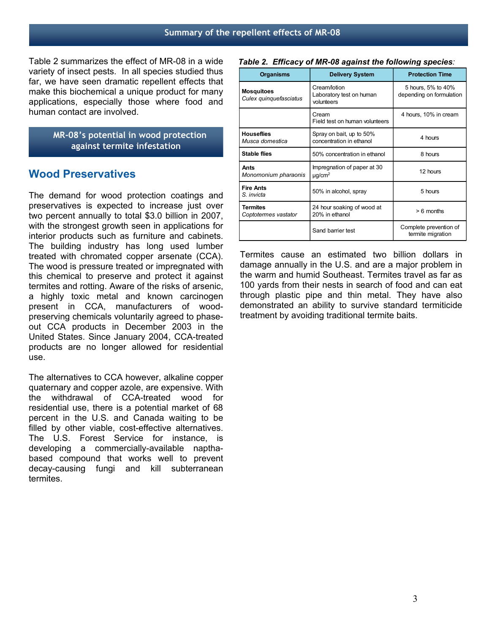Table 2 summarizes the effect of MR-08 in a wide variety of insect pests. In all species studied thus far, we have seen dramatic repellent effects that make this biochemical a unique product for many applications, especially those where food and human contact are involved.

> **MR-08's potential in wood protection against termite infestation**

# **Wood Preservatives**

The demand for wood protection coatings and preservatives is expected to increase just over two percent annually to total \$3.0 billion in 2007, with the strongest growth seen in applications for interior products such as furniture and cabinets. The building industry has long used lumber treated with chromated copper arsenate (CCA). The wood is pressure treated or impregnated with this chemical to preserve and protect it against termites and rotting. Aware of the risks of arsenic, a highly toxic metal and known carcinogen present in CCA, manufacturers of woodpreserving chemicals voluntarily agreed to phaseout CCA products in December 2003 in the United States. Since January 2004, CCA-treated products are no longer allowed for residential use.

The alternatives to CCA however, alkaline copper quaternary and copper azole, are expensive. With the withdrawal of CCA-treated wood for residential use, there is a potential market of 68 percent in the U.S. and Canada waiting to be filled by other viable, cost-effective alternatives. The U.S. Forest Service for instance, is developing a commercially-available napthabased compound that works well to prevent decay-causing fungi and kill subterranean termites.

*Table 2. Efficacy of MR-08 against the following species:*

| <b>Organisms</b>                            | <b>Delivery System</b>                                 | <b>Protection Time</b>                         |
|---------------------------------------------|--------------------------------------------------------|------------------------------------------------|
| <b>Mosquitoes</b><br>Culex quinquefasciatus | Cream/lotion<br>Laboratory test on human<br>volunteers | 5 hours, 5% to 40%<br>depending on formulation |
|                                             | Cream<br>Field test on human volunteers                | 4 hours, 10% in cream                          |
| <b>Houseflies</b><br>Musca domestica        | Spray on bait, up to 50%<br>concentration in ethanol   | 4 hours                                        |
| <b>Stable flies</b>                         | 50% concentration in ethanol                           | 8 hours                                        |
| Ants<br>Monomonium pharaonis                | Impregnation of paper at 30<br>$\mu q/cm^2$            | 12 hours                                       |
| <b>Fire Ants</b><br>S. invicta              | 50% in alcohol, spray                                  | 5 hours                                        |
| <b>Termites</b><br>Coptotermes vastator     | 24 hour soaking of wood at<br>20% in ethanol           | $> 6$ months                                   |
|                                             | Sand barrier test                                      | Complete prevention of<br>termite migration    |

Termites cause an estimated two billion dollars in damage annually in the U.S. and are a major problem in the warm and humid Southeast. Termites travel as far as 100 yards from their nests in search of food and can eat through plastic pipe and thin metal. They have also demonstrated an ability to survive standard termiticide treatment by avoiding traditional termite baits.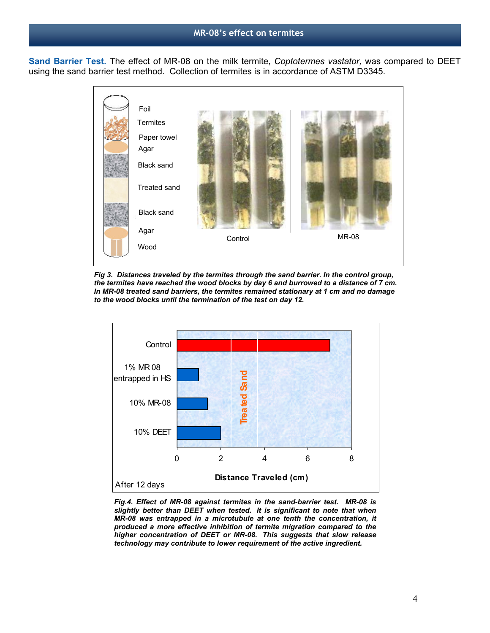**Sand Barrier Test.** The effect of MR-08 on the milk termite, *Coptotermes vastator,* was compared to DEET using the sand barrier test method. Collection of termites is in accordance of ASTM D3345.



*Fig 3. Distances traveled by the termites through the sand barrier. In the control group, the termites have reached the wood blocks by day 6 and burrowed to a distance of 7 cm. In MR-08 treated sand barriers, the termites remained stationary at 1 cm and no damage to the wood blocks until the termination of the test on day 12.* 



*Fig.4. Effect of MR-08 against termites in the sand-barrier test. MR-08 is slightly better than DEET when tested. It is significant to note that when MR-08 was entrapped in a microtubule at one tenth the concentration, it produced a more effective inhibition of termite migration compared to the higher concentration of DEET or MR-08. This suggests that slow release technology may contribute to lower requirement of the active ingredient.*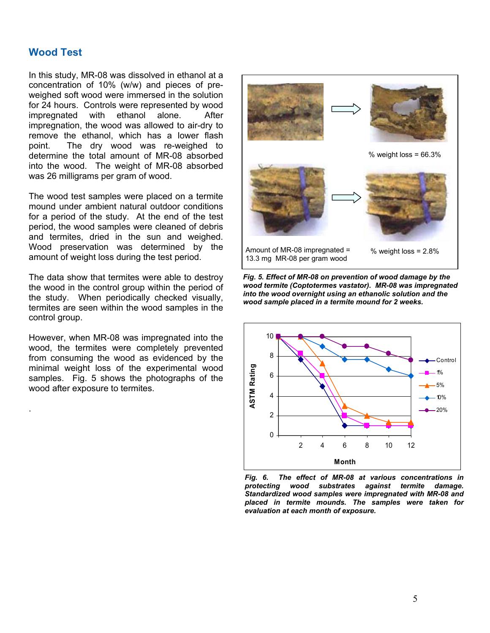# **Wood Test**

.

In this study, MR-08 was dissolved in ethanol at a concentration of 10% (w/w) and pieces of preweighed soft wood were immersed in the solution for 24 hours. Controls were represented by wood impregnated with ethanol alone. After impregnation, the wood was allowed to air-dry to remove the ethanol, which has a lower flash point. The dry wood was re-weighed to determine the total amount of MR-08 absorbed into the wood. The weight of MR-08 absorbed was 26 milligrams per gram of wood.

The wood test samples were placed on a termite mound under ambient natural outdoor conditions for a period of the study. At the end of the test period, the wood samples were cleaned of debris and termites, dried in the sun and weighed. Wood preservation was determined by the amount of weight loss during the test period.

The data show that termites were able to destroy the wood in the control group within the period of the study. When periodically checked visually, termites are seen within the wood samples in the control group.

However, when MR-08 was impregnated into the wood, the termites were completely prevented from consuming the wood as evidenced by the minimal weight loss of the experimental wood samples. Fig. 5 shows the photographs of the wood after exposure to termites.



*Fig. 5. Effect of MR-08 on prevention of wood damage by the wood termite (Coptotermes vastator). MR-08 was impregnated into the wood overnight using an ethanolic solution and the wood sample placed in a termite mound for 2 weeks.* 



*Fig. 6. The effect of MR-08 at various concentrations in*  wood substrates against termite damage. *Standardized wood samples were impregnated with MR-08 and placed in termite mounds. The samples were taken for evaluation at each month of exposure.*